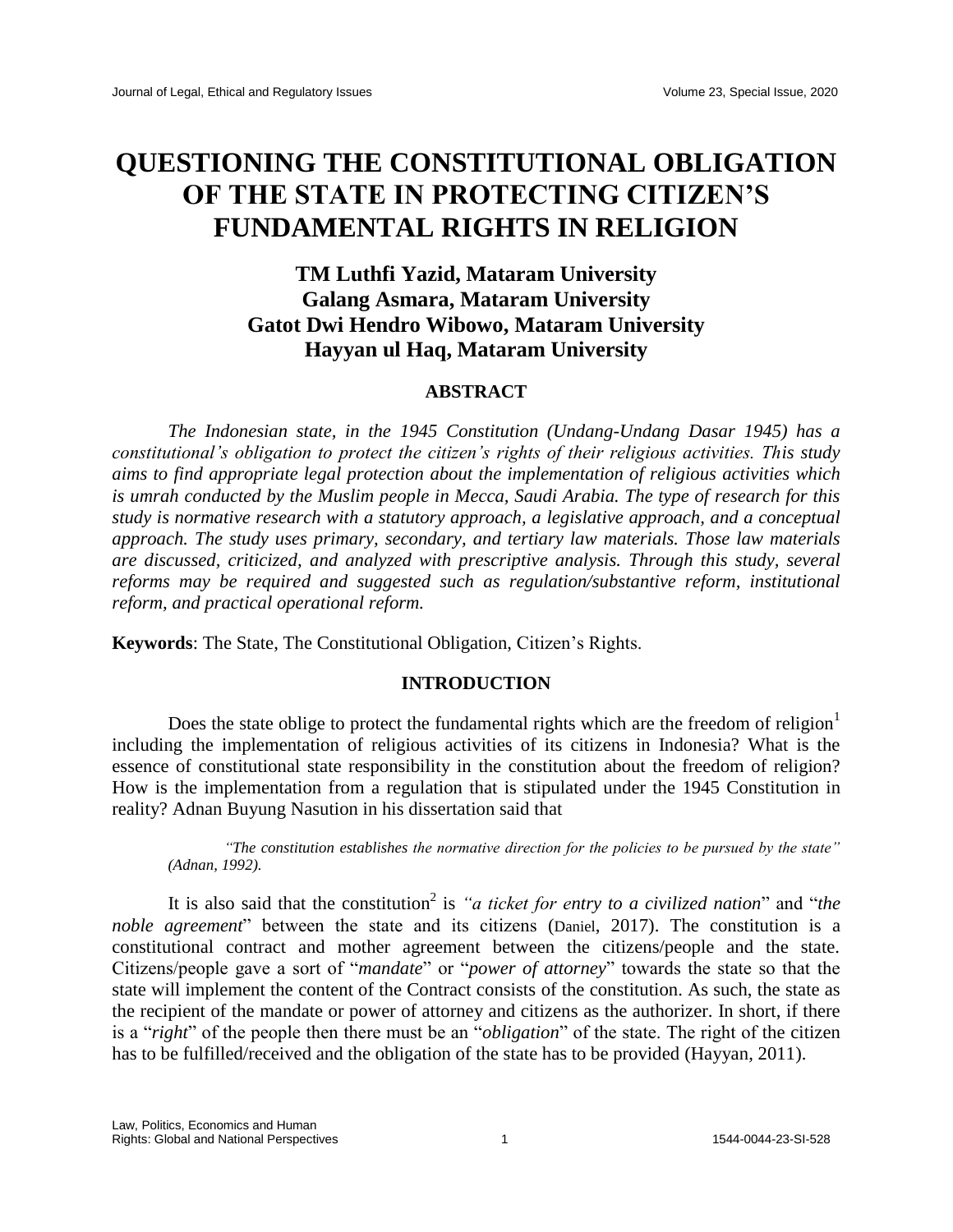# **QUESTIONING THE CONSTITUTIONAL OBLIGATION OF THE STATE IN PROTECTING CITIZEN'S FUNDAMENTAL RIGHTS IN RELIGION**

# **TM Luthfi Yazid, Mataram University Galang Asmara, Mataram University Gatot Dwi Hendro Wibowo, Mataram University Hayyan ul Haq, Mataram University**

## **ABSTRACT**

*The Indonesian state, in the 1945 Constitution (Undang-Undang Dasar 1945) has a constitutional's obligation to protect the citizen's rights of their religious activities. This study aims to find appropriate legal protection about the implementation of religious activities which is umrah conducted by the Muslim people in Mecca, Saudi Arabia. The type of research for this study is normative research with a statutory approach, a legislative approach, and a conceptual approach. The study uses primary, secondary, and tertiary law materials. Those law materials are discussed, criticized, and analyzed with prescriptive analysis. Through this study, several reforms may be required and suggested such as regulation/substantive reform, institutional reform, and practical operational reform.*

**Keywords**: The State, The Constitutional Obligation, Citizen's Rights.

## **INTRODUCTION**

Does the state oblige to protect the fundamental rights which are the freedom of religion<sup>1</sup> including the implementation of religious activities of its citizens in Indonesia? What is the essence of constitutional state responsibility in the constitution about the freedom of religion? How is the implementation from a regulation that is stipulated under the 1945 Constitution in reality? Adnan Buyung Nasution in his dissertation said that

*"The constitution establishes the normative direction for the policies to be pursued by the state" (Adnan, 1992).*

It is also said that the constitution<sup>2</sup> is "*a ticket for entry to a civilized nation*" and "*the noble agreement*" between the state and its citizens (Daniel, 2017). The constitution is a constitutional contract and mother agreement between the citizens/people and the state. Citizens/people gave a sort of "*mandate*" or "*power of attorney*" towards the state so that the state will implement the content of the Contract consists of the constitution. As such, the state as the recipient of the mandate or power of attorney and citizens as the authorizer. In short, if there is a "*right*" of the people then there must be an "*obligation*" of the state. The right of the citizen has to be fulfilled/received and the obligation of the state has to be provided (Hayyan, 2011).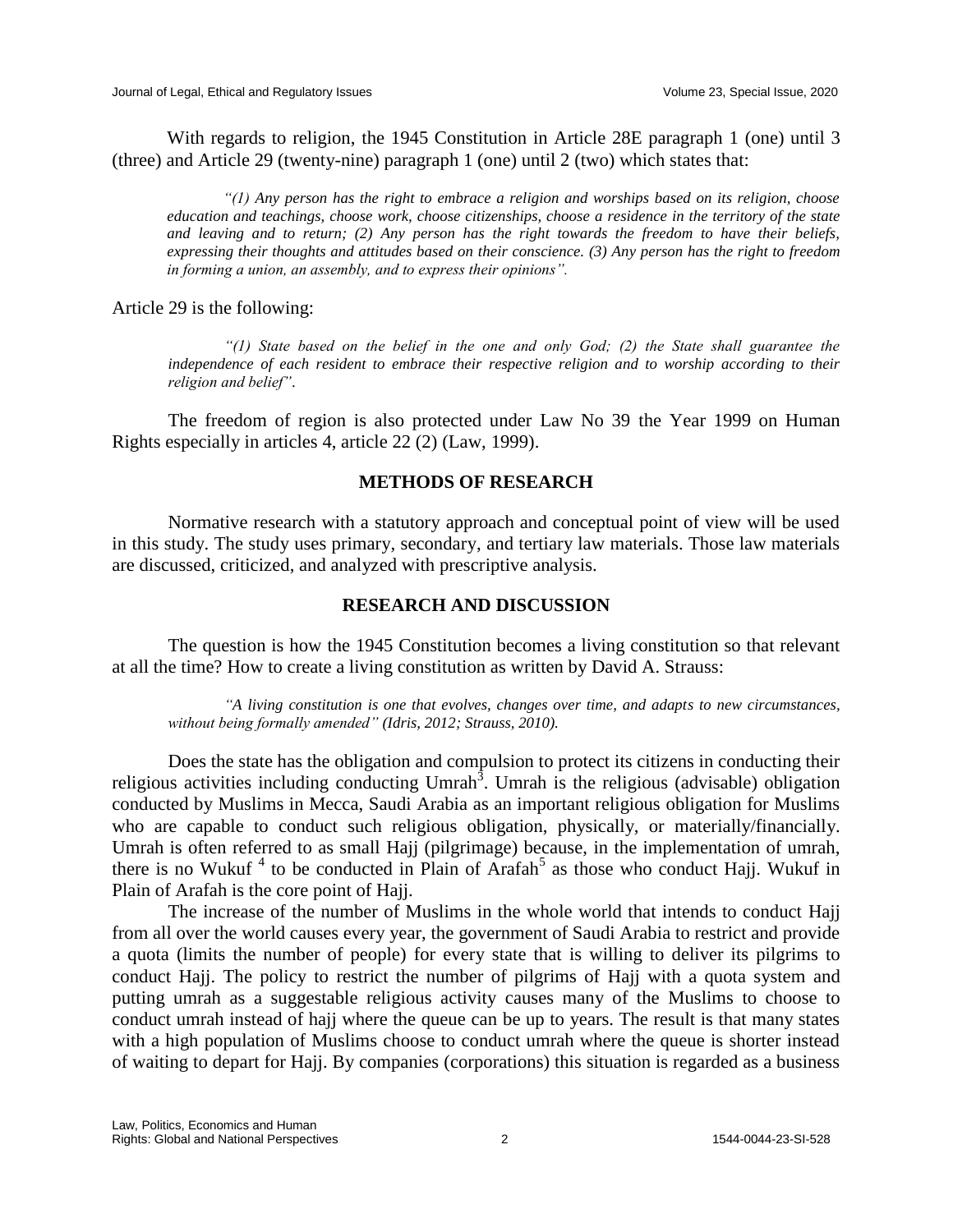With regards to religion, the 1945 Constitution in Article 28E paragraph 1 (one) until 3 (three) and Article 29 (twenty-nine) paragraph 1 (one) until 2 (two) which states that:

*"(1) Any person has the right to embrace a religion and worships based on its religion, choose education and teachings, choose work, choose citizenships, choose a residence in the territory of the state and leaving and to return; (2) Any person has the right towards the freedom to have their beliefs, expressing their thoughts and attitudes based on their conscience. (3) Any person has the right to freedom in forming a union, an assembly, and to express their opinions".*

Article 29 is the following:

*"(1) State based on the belief in the one and only God; (2) the State shall guarantee the independence of each resident to embrace their respective religion and to worship according to their religion and belief"*.

The freedom of region is also protected under Law No 39 the Year 1999 on Human Rights especially in articles 4, article 22 (2) (Law, 1999).

#### **METHODS OF RESEARCH**

Normative research with a statutory approach and conceptual point of view will be used in this study. The study uses primary, secondary, and tertiary law materials. Those law materials are discussed, criticized, and analyzed with prescriptive analysis.

#### **RESEARCH AND DISCUSSION**

The question is how the 1945 Constitution becomes a living constitution so that relevant at all the time? How to create a living constitution as written by David A. Strauss:

*"A living constitution is one that evolves, changes over time, and adapts to new circumstances, without being formally amended" (Idris, 2012; Strauss, 2010).*

Does the state has the obligation and compulsion to protect its citizens in conducting their religious activities including conducting Umrah<sup>3</sup>. Umrah is the religious (advisable) obligation conducted by Muslims in Mecca, Saudi Arabia as an important religious obligation for Muslims who are capable to conduct such religious obligation, physically, or materially/financially. Umrah is often referred to as small Hajj (pilgrimage) because, in the implementation of umrah, there is no Wukuf<sup>4</sup> to be conducted in Plain of Arafah<sup>5</sup> as those who conduct Hajj. Wukuf in Plain of Arafah is the core point of Hajj.

The increase of the number of Muslims in the whole world that intends to conduct Hajj from all over the world causes every year, the government of Saudi Arabia to restrict and provide a quota (limits the number of people) for every state that is willing to deliver its pilgrims to conduct Hajj. The policy to restrict the number of pilgrims of Hajj with a quota system and putting umrah as a suggestable religious activity causes many of the Muslims to choose to conduct umrah instead of hajj where the queue can be up to years. The result is that many states with a high population of Muslims choose to conduct umrah where the queue is shorter instead of waiting to depart for Hajj. By companies (corporations) this situation is regarded as a business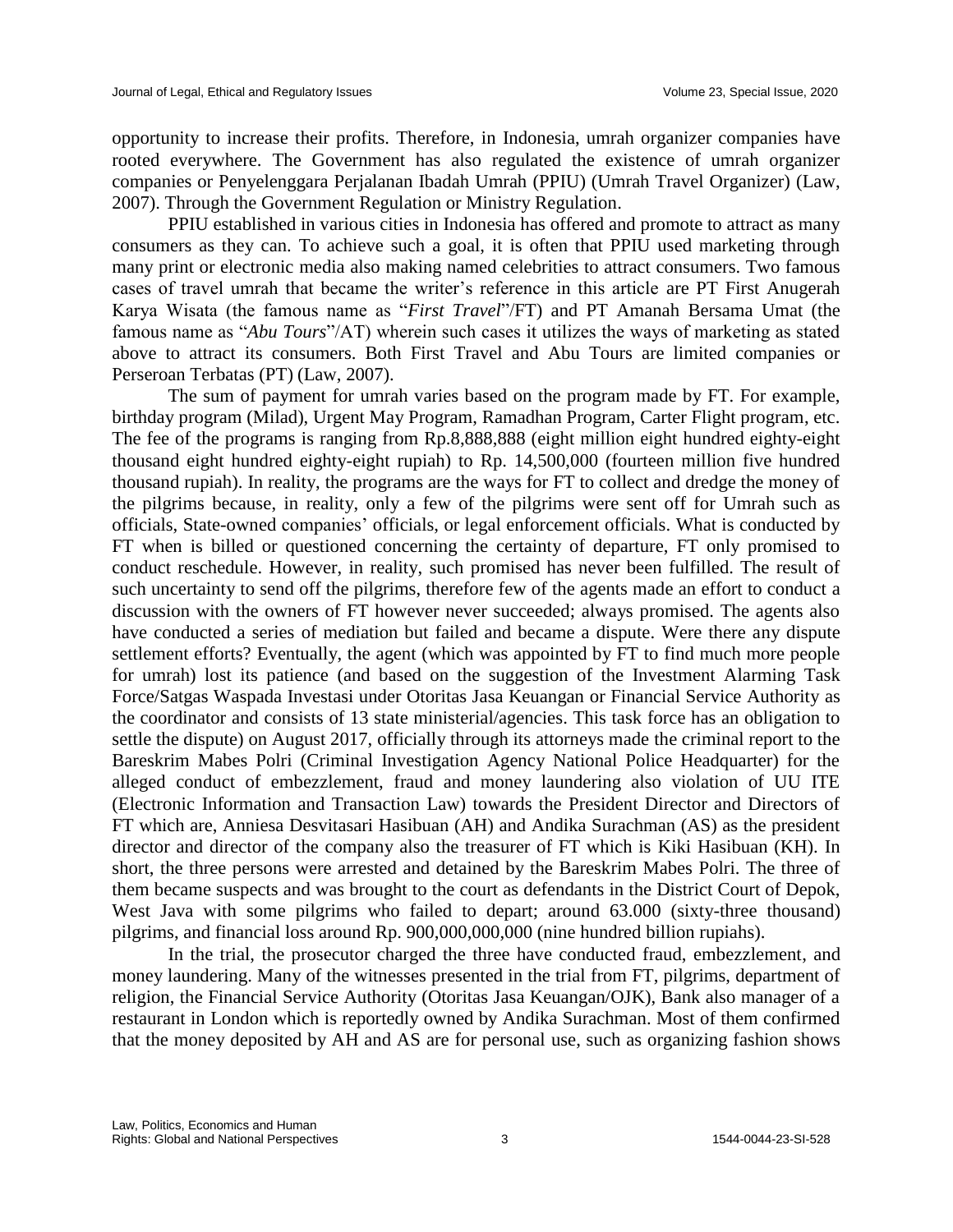opportunity to increase their profits. Therefore, in Indonesia, umrah organizer companies have rooted everywhere. The Government has also regulated the existence of umrah organizer companies or Penyelenggara Perjalanan Ibadah Umrah (PPIU) (Umrah Travel Organizer) (Law, 2007). Through the Government Regulation or Ministry Regulation.

PPIU established in various cities in Indonesia has offered and promote to attract as many consumers as they can. To achieve such a goal, it is often that PPIU used marketing through many print or electronic media also making named celebrities to attract consumers. Two famous cases of travel umrah that became the writer's reference in this article are PT First Anugerah Karya Wisata (the famous name as "*First Travel*"/FT) and PT Amanah Bersama Umat (the famous name as "*Abu Tours*"/AT) wherein such cases it utilizes the ways of marketing as stated above to attract its consumers. Both First Travel and Abu Tours are limited companies or Perseroan Terbatas (PT) (Law, 2007).

The sum of payment for umrah varies based on the program made by FT. For example, birthday program (Milad), Urgent May Program, Ramadhan Program, Carter Flight program, etc. The fee of the programs is ranging from Rp.8,888,888 (eight million eight hundred eighty-eight thousand eight hundred eighty-eight rupiah) to Rp. 14,500,000 (fourteen million five hundred thousand rupiah). In reality, the programs are the ways for FT to collect and dredge the money of the pilgrims because, in reality, only a few of the pilgrims were sent off for Umrah such as officials, State-owned companies' officials, or legal enforcement officials. What is conducted by FT when is billed or questioned concerning the certainty of departure, FT only promised to conduct reschedule. However, in reality, such promised has never been fulfilled. The result of such uncertainty to send off the pilgrims, therefore few of the agents made an effort to conduct a discussion with the owners of FT however never succeeded; always promised. The agents also have conducted a series of mediation but failed and became a dispute. Were there any dispute settlement efforts? Eventually, the agent (which was appointed by FT to find much more people for umrah) lost its patience (and based on the suggestion of the Investment Alarming Task Force/Satgas Waspada Investasi under Otoritas Jasa Keuangan or Financial Service Authority as the coordinator and consists of 13 state ministerial/agencies. This task force has an obligation to settle the dispute) on August 2017, officially through its attorneys made the criminal report to the Bareskrim Mabes Polri (Criminal Investigation Agency National Police Headquarter) for the alleged conduct of embezzlement, fraud and money laundering also violation of UU ITE (Electronic Information and Transaction Law) towards the President Director and Directors of FT which are, Anniesa Desvitasari Hasibuan (AH) and Andika Surachman (AS) as the president director and director of the company also the treasurer of FT which is Kiki Hasibuan (KH). In short, the three persons were arrested and detained by the Bareskrim Mabes Polri. The three of them became suspects and was brought to the court as defendants in the District Court of Depok, West Java with some pilgrims who failed to depart; around 63.000 (sixty-three thousand) pilgrims, and financial loss around Rp. 900,000,000,000 (nine hundred billion rupiahs).

In the trial, the prosecutor charged the three have conducted fraud, embezzlement, and money laundering. Many of the witnesses presented in the trial from FT, pilgrims, department of religion, the Financial Service Authority (Otoritas Jasa Keuangan/OJK), Bank also manager of a restaurant in London which is reportedly owned by Andika Surachman. Most of them confirmed that the money deposited by AH and AS are for personal use, such as organizing fashion shows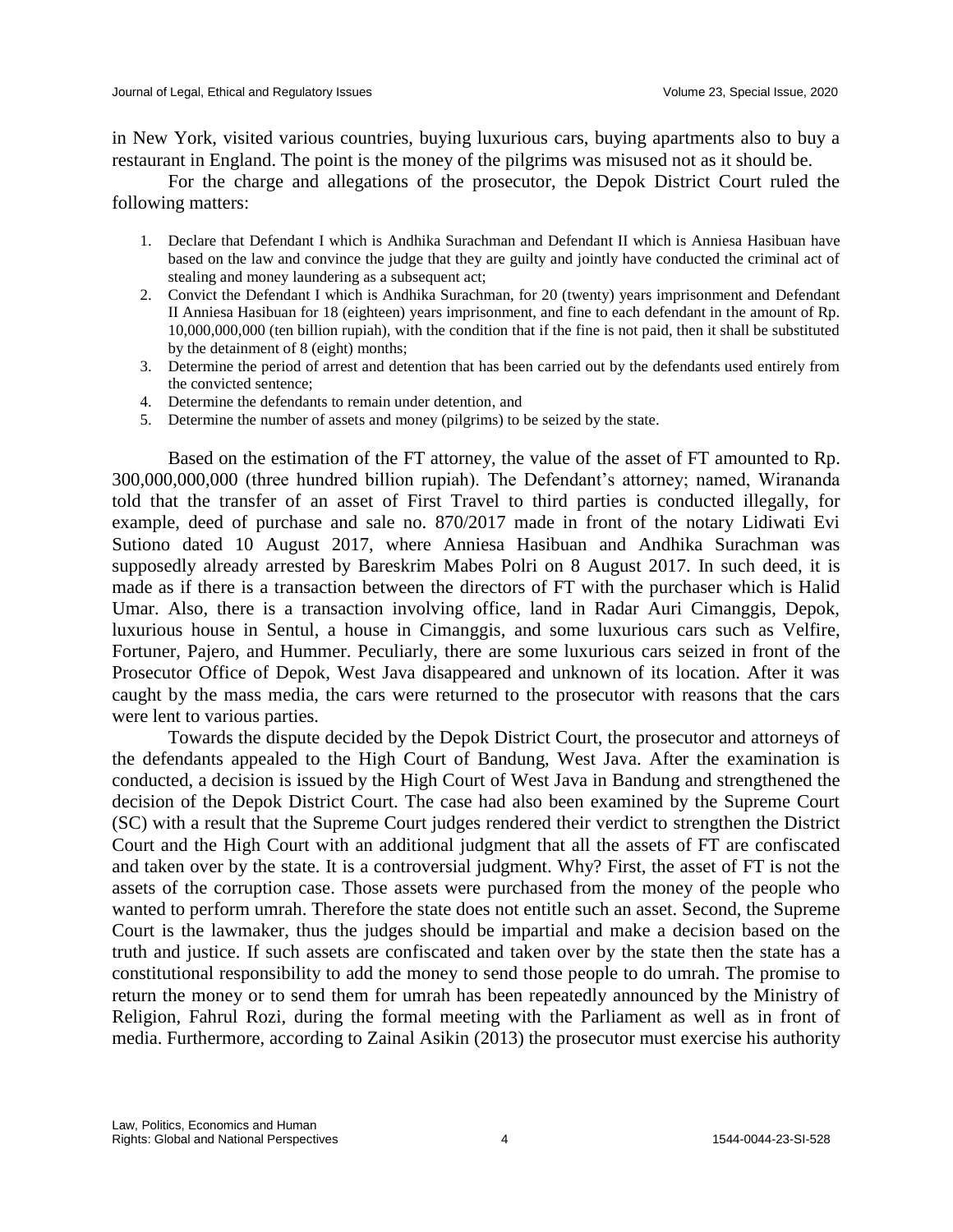in New York, visited various countries, buying luxurious cars, buying apartments also to buy a restaurant in England. The point is the money of the pilgrims was misused not as it should be.

For the charge and allegations of the prosecutor, the Depok District Court ruled the following matters:

- 1. Declare that Defendant I which is Andhika Surachman and Defendant II which is Anniesa Hasibuan have based on the law and convince the judge that they are guilty and jointly have conducted the criminal act of stealing and money laundering as a subsequent act;
- 2. Convict the Defendant I which is Andhika Surachman, for 20 (twenty) years imprisonment and Defendant II Anniesa Hasibuan for 18 (eighteen) years imprisonment, and fine to each defendant in the amount of Rp. 10,000,000,000 (ten billion rupiah), with the condition that if the fine is not paid, then it shall be substituted by the detainment of 8 (eight) months;
- 3. Determine the period of arrest and detention that has been carried out by the defendants used entirely from the convicted sentence;
- 4. Determine the defendants to remain under detention, and
- 5. Determine the number of assets and money (pilgrims) to be seized by the state.

Based on the estimation of the FT attorney, the value of the asset of FT amounted to Rp. 300,000,000,000 (three hundred billion rupiah). The Defendant's attorney; named, Wirananda told that the transfer of an asset of First Travel to third parties is conducted illegally, for example, deed of purchase and sale no. 870/2017 made in front of the notary Lidiwati Evi Sutiono dated 10 August 2017, where Anniesa Hasibuan and Andhika Surachman was supposedly already arrested by Bareskrim Mabes Polri on 8 August 2017. In such deed, it is made as if there is a transaction between the directors of FT with the purchaser which is Halid Umar. Also, there is a transaction involving office, land in Radar Auri Cimanggis, Depok, luxurious house in Sentul, a house in Cimanggis, and some luxurious cars such as Velfire, Fortuner, Pajero, and Hummer. Peculiarly, there are some luxurious cars seized in front of the Prosecutor Office of Depok, West Java disappeared and unknown of its location. After it was caught by the mass media, the cars were returned to the prosecutor with reasons that the cars were lent to various parties.

Towards the dispute decided by the Depok District Court, the prosecutor and attorneys of the defendants appealed to the High Court of Bandung, West Java. After the examination is conducted, a decision is issued by the High Court of West Java in Bandung and strengthened the decision of the Depok District Court. The case had also been examined by the Supreme Court (SC) with a result that the Supreme Court judges rendered their verdict to strengthen the District Court and the High Court with an additional judgment that all the assets of FT are confiscated and taken over by the state. It is a controversial judgment. Why? First, the asset of FT is not the assets of the corruption case. Those assets were purchased from the money of the people who wanted to perform umrah. Therefore the state does not entitle such an asset. Second, the Supreme Court is the lawmaker, thus the judges should be impartial and make a decision based on the truth and justice. If such assets are confiscated and taken over by the state then the state has a constitutional responsibility to add the money to send those people to do umrah. The promise to return the money or to send them for umrah has been repeatedly announced by the Ministry of Religion, Fahrul Rozi, during the formal meeting with the Parliament as well as in front of media. Furthermore, according to Zainal Asikin (2013) the prosecutor must exercise his authority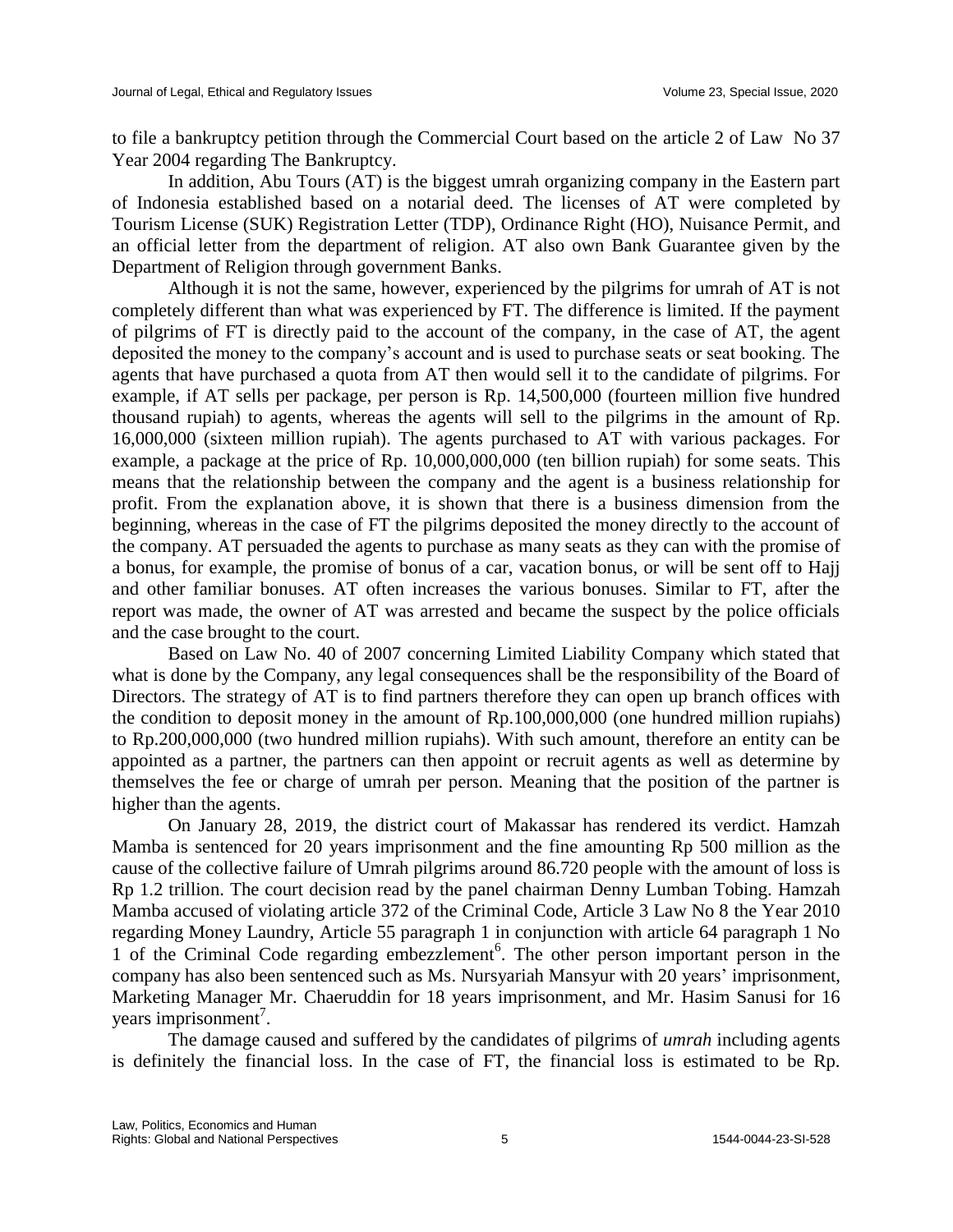to file a bankruptcy petition through the Commercial Court based on the article 2 of Law No 37 Year 2004 regarding The Bankruptcy.

In addition, Abu Tours (AT) is the biggest umrah organizing company in the Eastern part of Indonesia established based on a notarial deed. The licenses of AT were completed by Tourism License (SUK) Registration Letter (TDP), Ordinance Right (HO), Nuisance Permit, and an official letter from the department of religion. AT also own Bank Guarantee given by the Department of Religion through government Banks.

Although it is not the same, however, experienced by the pilgrims for umrah of AT is not completely different than what was experienced by FT. The difference is limited. If the payment of pilgrims of FT is directly paid to the account of the company, in the case of AT, the agent deposited the money to the company's account and is used to purchase seats or seat booking. The agents that have purchased a quota from AT then would sell it to the candidate of pilgrims. For example, if AT sells per package, per person is Rp. 14,500,000 (fourteen million five hundred thousand rupiah) to agents, whereas the agents will sell to the pilgrims in the amount of Rp. 16,000,000 (sixteen million rupiah). The agents purchased to AT with various packages. For example, a package at the price of Rp. 10,000,000,000 (ten billion rupiah) for some seats. This means that the relationship between the company and the agent is a business relationship for profit. From the explanation above, it is shown that there is a business dimension from the beginning, whereas in the case of FT the pilgrims deposited the money directly to the account of the company. AT persuaded the agents to purchase as many seats as they can with the promise of a bonus, for example, the promise of bonus of a car, vacation bonus, or will be sent off to Hajj and other familiar bonuses. AT often increases the various bonuses. Similar to FT, after the report was made, the owner of AT was arrested and became the suspect by the police officials and the case brought to the court.

Based on Law No. 40 of 2007 concerning Limited Liability Company which stated that what is done by the Company, any legal consequences shall be the responsibility of the Board of Directors. The strategy of AT is to find partners therefore they can open up branch offices with the condition to deposit money in the amount of Rp.100,000,000 (one hundred million rupiahs) to Rp.200,000,000 (two hundred million rupiahs). With such amount, therefore an entity can be appointed as a partner, the partners can then appoint or recruit agents as well as determine by themselves the fee or charge of umrah per person. Meaning that the position of the partner is higher than the agents.

On January 28, 2019, the district court of Makassar has rendered its verdict. Hamzah Mamba is sentenced for 20 years imprisonment and the fine amounting Rp 500 million as the cause of the collective failure of Umrah pilgrims around 86.720 people with the amount of loss is Rp 1.2 trillion. The court decision read by the panel chairman Denny Lumban Tobing. Hamzah Mamba accused of violating article 372 of the Criminal Code, Article 3 Law No 8 the Year 2010 regarding Money Laundry, Article 55 paragraph 1 in conjunction with article 64 paragraph 1 No 1 of the Criminal Code regarding embezzlement<sup>6</sup>. The other person important person in the company has also been sentenced such as Ms. Nursyariah Mansyur with 20 years' imprisonment, Marketing Manager Mr. Chaeruddin for 18 years imprisonment, and Mr. Hasim Sanusi for 16 years imprisonment<sup>7</sup>.

The damage caused and suffered by the candidates of pilgrims of *umrah* including agents is definitely the financial loss. In the case of FT, the financial loss is estimated to be Rp.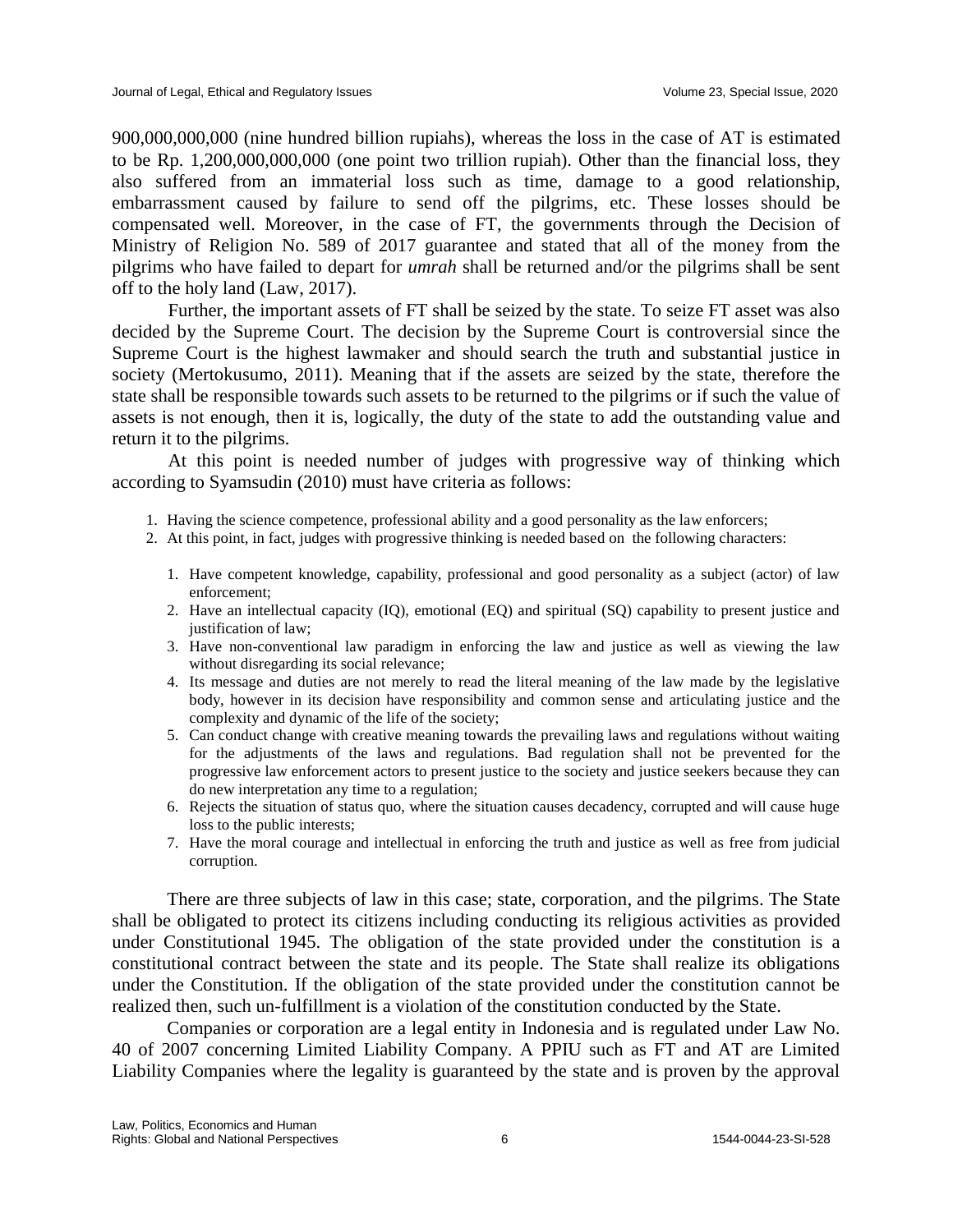900,000,000,000 (nine hundred billion rupiahs), whereas the loss in the case of AT is estimated to be Rp. 1,200,000,000,000 (one point two trillion rupiah). Other than the financial loss, they also suffered from an immaterial loss such as time, damage to a good relationship, embarrassment caused by failure to send off the pilgrims, etc. These losses should be compensated well. Moreover, in the case of FT, the governments through the Decision of Ministry of Religion No. 589 of 2017 guarantee and stated that all of the money from the pilgrims who have failed to depart for *umrah* shall be returned and/or the pilgrims shall be sent off to the holy land (Law, 2017).

Further, the important assets of FT shall be seized by the state. To seize FT asset was also decided by the Supreme Court. The decision by the Supreme Court is controversial since the Supreme Court is the highest lawmaker and should search the truth and substantial justice in society (Mertokusumo, 2011). Meaning that if the assets are seized by the state, therefore the state shall be responsible towards such assets to be returned to the pilgrims or if such the value of assets is not enough, then it is, logically, the duty of the state to add the outstanding value and return it to the pilgrims.

At this point is needed number of judges with progressive way of thinking which according to Syamsudin (2010) must have criteria as follows:

- 1. Having the science competence, professional ability and a good personality as the law enforcers;
- 2. At this point, in fact, judges with progressive thinking is needed based on the following characters:
	- 1. Have competent knowledge, capability, professional and good personality as a subject (actor) of law enforcement;
	- 2. Have an intellectual capacity (IQ), emotional (EQ) and spiritual (SQ) capability to present justice and justification of law;
	- 3. Have non-conventional law paradigm in enforcing the law and justice as well as viewing the law without disregarding its social relevance;
	- 4. Its message and duties are not merely to read the literal meaning of the law made by the legislative body, however in its decision have responsibility and common sense and articulating justice and the complexity and dynamic of the life of the society;
	- 5. Can conduct change with creative meaning towards the prevailing laws and regulations without waiting for the adjustments of the laws and regulations. Bad regulation shall not be prevented for the progressive law enforcement actors to present justice to the society and justice seekers because they can do new interpretation any time to a regulation;
	- 6. Rejects the situation of status quo, where the situation causes decadency, corrupted and will cause huge loss to the public interests;
	- 7. Have the moral courage and intellectual in enforcing the truth and justice as well as free from judicial corruption.

There are three subjects of law in this case; state, corporation, and the pilgrims. The State shall be obligated to protect its citizens including conducting its religious activities as provided under Constitutional 1945. The obligation of the state provided under the constitution is a constitutional contract between the state and its people. The State shall realize its obligations under the Constitution. If the obligation of the state provided under the constitution cannot be realized then, such un-fulfillment is a violation of the constitution conducted by the State.

Companies or corporation are a legal entity in Indonesia and is regulated under Law No. 40 of 2007 concerning Limited Liability Company. A PPIU such as FT and AT are Limited Liability Companies where the legality is guaranteed by the state and is proven by the approval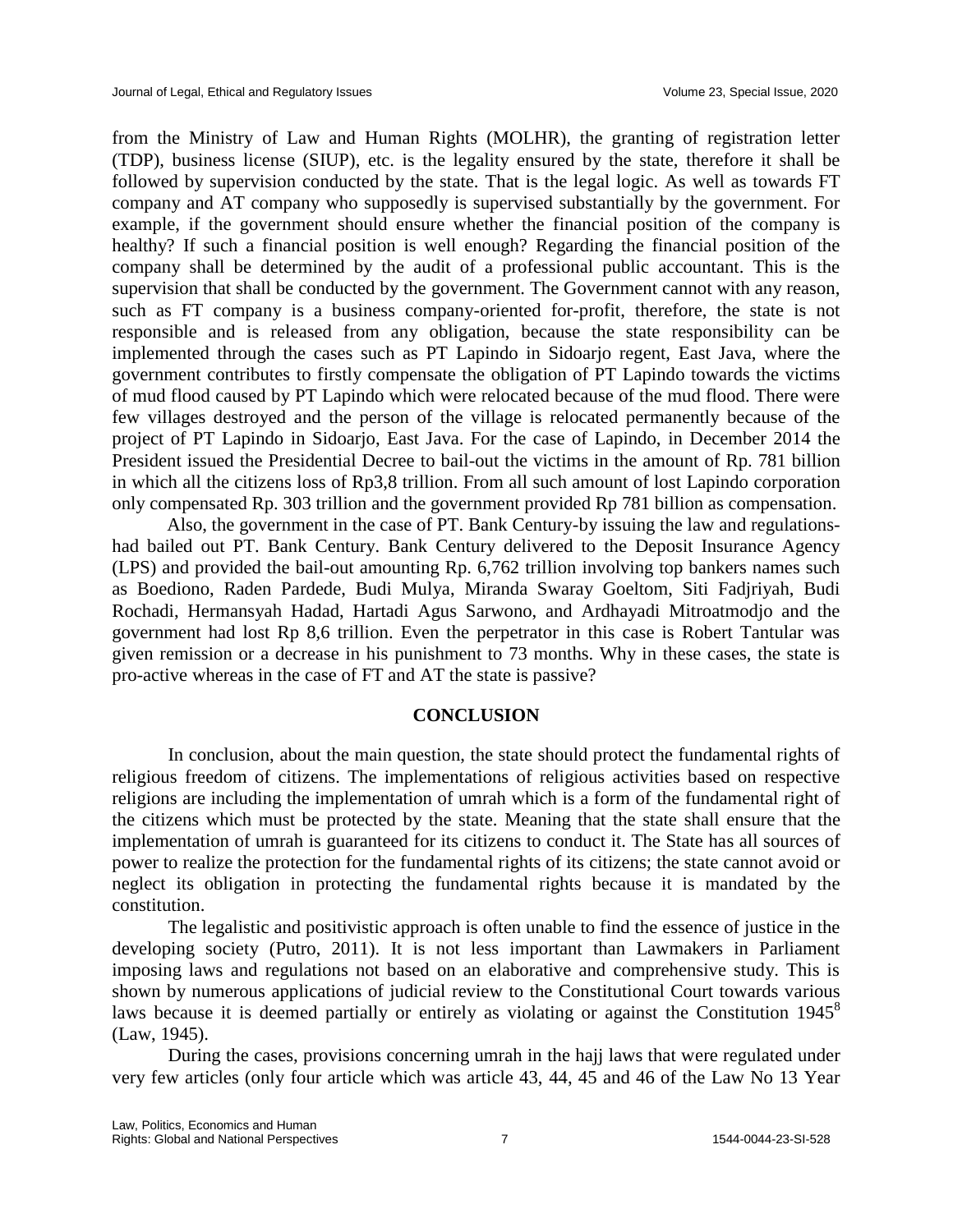from the Ministry of Law and Human Rights (MOLHR), the granting of registration letter (TDP), business license (SIUP), etc. is the legality ensured by the state, therefore it shall be followed by supervision conducted by the state. That is the legal logic. As well as towards FT company and AT company who supposedly is supervised substantially by the government. For example, if the government should ensure whether the financial position of the company is healthy? If such a financial position is well enough? Regarding the financial position of the company shall be determined by the audit of a professional public accountant. This is the supervision that shall be conducted by the government. The Government cannot with any reason, such as FT company is a business company-oriented for-profit, therefore, the state is not responsible and is released from any obligation, because the state responsibility can be implemented through the cases such as PT Lapindo in Sidoarjo regent, East Java, where the government contributes to firstly compensate the obligation of PT Lapindo towards the victims of mud flood caused by PT Lapindo which were relocated because of the mud flood. There were few villages destroyed and the person of the village is relocated permanently because of the project of PT Lapindo in Sidoarjo, East Java. For the case of Lapindo, in December 2014 the President issued the Presidential Decree to bail-out the victims in the amount of Rp. 781 billion in which all the citizens loss of Rp3,8 trillion. From all such amount of lost Lapindo corporation only compensated Rp. 303 trillion and the government provided Rp 781 billion as compensation.

Also, the government in the case of PT. Bank Century-by issuing the law and regulationshad bailed out PT. Bank Century. Bank Century delivered to the Deposit Insurance Agency (LPS) and provided the bail-out amounting Rp. 6,762 trillion involving top bankers names such as Boediono, Raden Pardede, Budi Mulya, Miranda Swaray Goeltom, Siti Fadjriyah, Budi Rochadi, Hermansyah Hadad, Hartadi Agus Sarwono, and Ardhayadi Mitroatmodjo and the government had lost Rp 8,6 trillion. Even the perpetrator in this case is Robert Tantular was given remission or a decrease in his punishment to 73 months. Why in these cases, the state is pro-active whereas in the case of FT and AT the state is passive?

#### **CONCLUSION**

In conclusion, about the main question, the state should protect the fundamental rights of religious freedom of citizens. The implementations of religious activities based on respective religions are including the implementation of umrah which is a form of the fundamental right of the citizens which must be protected by the state. Meaning that the state shall ensure that the implementation of umrah is guaranteed for its citizens to conduct it. The State has all sources of power to realize the protection for the fundamental rights of its citizens; the state cannot avoid or neglect its obligation in protecting the fundamental rights because it is mandated by the constitution.

The legalistic and positivistic approach is often unable to find the essence of justice in the developing society (Putro, 2011). It is not less important than Lawmakers in Parliament imposing laws and regulations not based on an elaborative and comprehensive study. This is shown by numerous applications of judicial review to the Constitutional Court towards various laws because it is deemed partially or entirely as violating or against the Constitution  $1945^8$ (Law, 1945).

During the cases, provisions concerning umrah in the hajj laws that were regulated under very few articles (only four article which was article 43, 44, 45 and 46 of the Law No 13 Year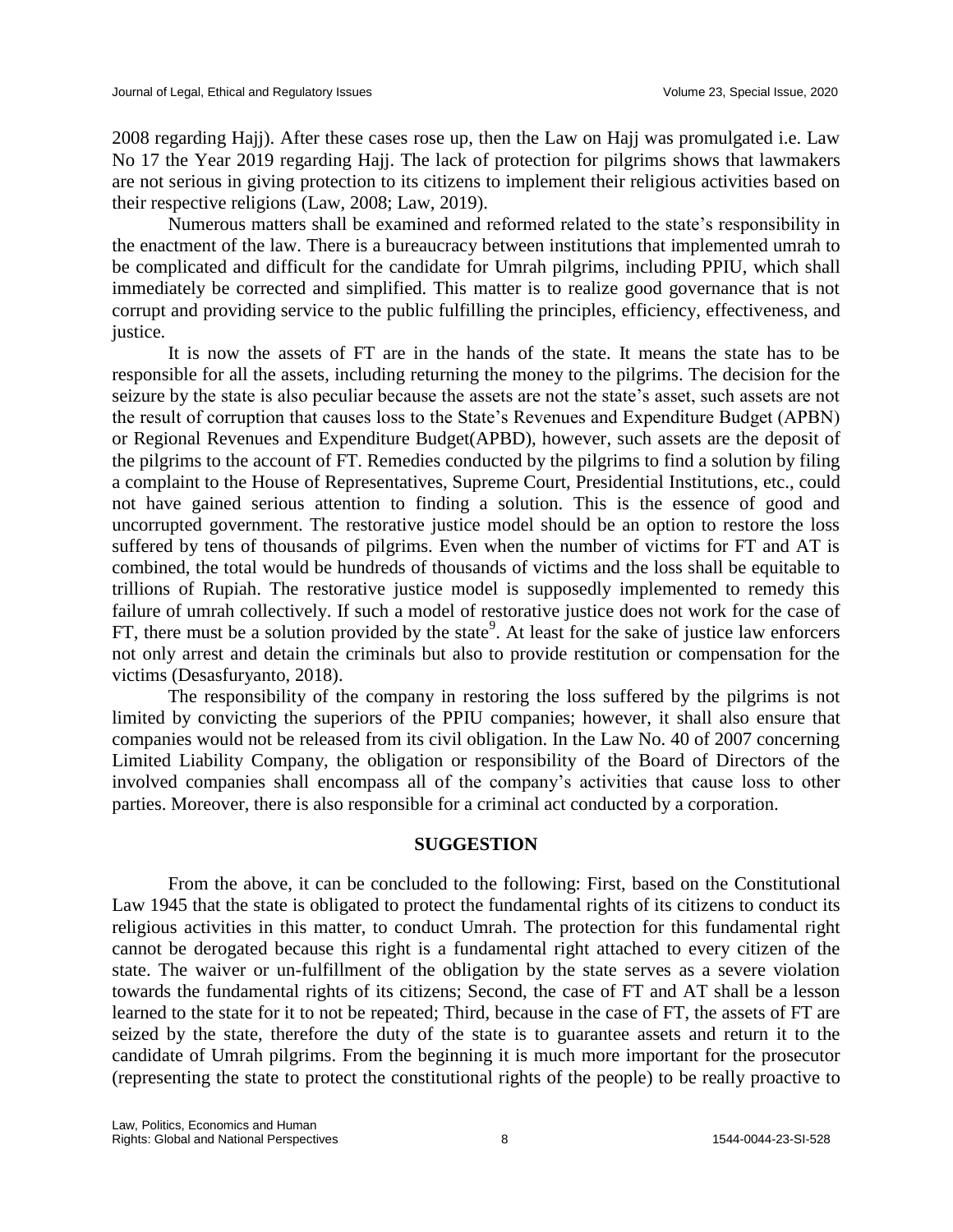2008 regarding Hajj). After these cases rose up, then the Law on Hajj was promulgated i.e. Law No 17 the Year 2019 regarding Hajj. The lack of protection for pilgrims shows that lawmakers are not serious in giving protection to its citizens to implement their religious activities based on their respective religions (Law, 2008; Law, 2019).

Numerous matters shall be examined and reformed related to the state's responsibility in the enactment of the law. There is a bureaucracy between institutions that implemented umrah to be complicated and difficult for the candidate for Umrah pilgrims, including PPIU, which shall immediately be corrected and simplified. This matter is to realize good governance that is not corrupt and providing service to the public fulfilling the principles, efficiency, effectiveness, and justice.

It is now the assets of FT are in the hands of the state. It means the state has to be responsible for all the assets, including returning the money to the pilgrims. The decision for the seizure by the state is also peculiar because the assets are not the state's asset, such assets are not the result of corruption that causes loss to the State's Revenues and Expenditure Budget (APBN) or Regional Revenues and Expenditure Budget(APBD), however, such assets are the deposit of the pilgrims to the account of FT. Remedies conducted by the pilgrims to find a solution by filing a complaint to the House of Representatives, Supreme Court, Presidential Institutions, etc., could not have gained serious attention to finding a solution. This is the essence of good and uncorrupted government. The restorative justice model should be an option to restore the loss suffered by tens of thousands of pilgrims. Even when the number of victims for FT and AT is combined, the total would be hundreds of thousands of victims and the loss shall be equitable to trillions of Rupiah. The restorative justice model is supposedly implemented to remedy this failure of umrah collectively. If such a model of restorative justice does not work for the case of FT, there must be a solution provided by the state<sup>9</sup>. At least for the sake of justice law enforcers not only arrest and detain the criminals but also to provide restitution or compensation for the victims (Desasfuryanto, 2018).

The responsibility of the company in restoring the loss suffered by the pilgrims is not limited by convicting the superiors of the PPIU companies; however, it shall also ensure that companies would not be released from its civil obligation. In the Law No. 40 of 2007 concerning Limited Liability Company, the obligation or responsibility of the Board of Directors of the involved companies shall encompass all of the company's activities that cause loss to other parties. Moreover, there is also responsible for a criminal act conducted by a corporation.

#### **SUGGESTION**

From the above, it can be concluded to the following: First, based on the Constitutional Law 1945 that the state is obligated to protect the fundamental rights of its citizens to conduct its religious activities in this matter, to conduct Umrah. The protection for this fundamental right cannot be derogated because this right is a fundamental right attached to every citizen of the state. The waiver or un-fulfillment of the obligation by the state serves as a severe violation towards the fundamental rights of its citizens; Second, the case of FT and AT shall be a lesson learned to the state for it to not be repeated; Third, because in the case of FT, the assets of FT are seized by the state, therefore the duty of the state is to guarantee assets and return it to the candidate of Umrah pilgrims. From the beginning it is much more important for the prosecutor (representing the state to protect the constitutional rights of the people) to be really proactive to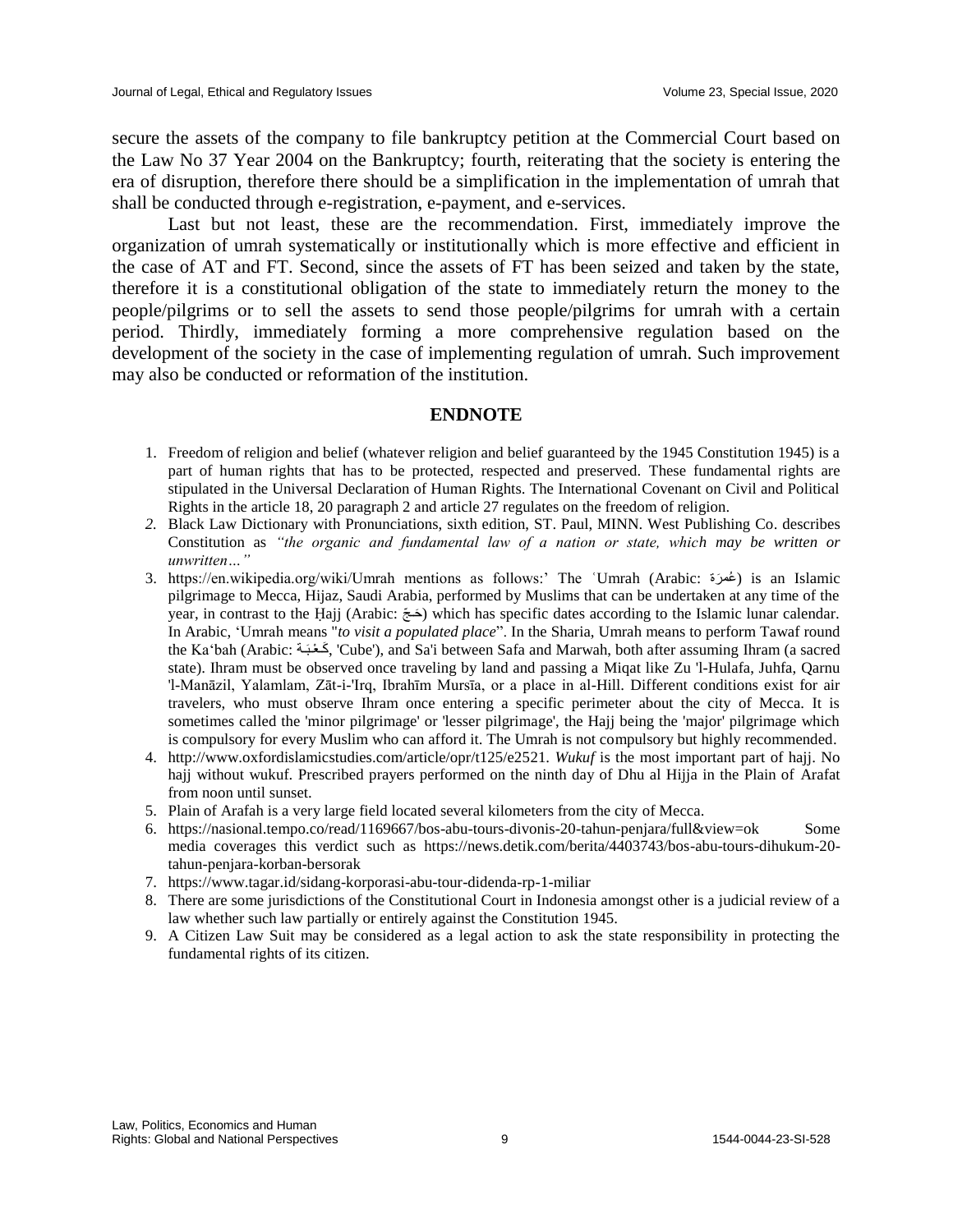secure the assets of the company to file bankruptcy petition at the Commercial Court based on the Law No 37 Year 2004 on the Bankruptcy; fourth, reiterating that the society is entering the era of disruption, therefore there should be a simplification in the implementation of umrah that shall be conducted through e-registration, e-payment, and e-services.

Last but not least, these are the recommendation. First, immediately improve the organization of umrah systematically or institutionally which is more effective and efficient in the case of AT and FT. Second, since the assets of FT has been seized and taken by the state, therefore it is a constitutional obligation of the state to immediately return the money to the people/pilgrims or to sell the assets to send those people/pilgrims for umrah with a certain period. Thirdly, immediately forming a more comprehensive regulation based on the development of the society in the case of implementing regulation of umrah. Such improvement may also be conducted or reformation of the institution.

#### **ENDNOTE**

- 1. Freedom of religion and belief (whatever religion and belief guaranteed by the 1945 Constitution 1945) is a part of human rights that has to be protected, respected and preserved. These fundamental rights are stipulated in the Universal Declaration of Human Rights. The International Covenant on Civil and Political Rights in the article 18, 20 paragraph 2 and article 27 regulates on the freedom of religion.
- *2.* Black Law Dictionary with Pronunciations, sixth edition, ST. Paul, MINN. West Publishing Co. describes Constitution as *"the organic and fundamental law of a nation or state, which may be written or unwritten…"*
- 3. https://en.wikipedia.org/wiki/Umrah mentions as follows:' The ʿUmrah (Arabic: رةَعمُ ( is an Islamic pilgrimage to Mecca, Hijaz, Saudi Arabia, performed by Muslims that can be undertaken at any time of the year, in contrast to the Ḥajj (Arabic: حَتَّى which has specific dates according to the Islamic lunar calendar. In Arabic, 'Umrah means "*to visit a populated place*". In the Sharia, Umrah means to perform Tawaf round the Ka'bah (Arabic: تَحْبَة, 'Cube'), and Sa'i between Safa and Marwah, both after assuming Ihram (a sacred state). Ihram must be observed once traveling by land and passing a Miqat like Zu 'l-Hulafa, Juhfa, Qarnu 'l-Manāzil, Yalamlam, Zāt-i-'Irq, Ibrahīm Mursīa, or a place in al-Hill. Different conditions exist for air travelers, who must observe Ihram once entering a specific perimeter about the city of Mecca. It is sometimes called the 'minor pilgrimage' or 'lesser pilgrimage', the Hajj being the 'major' pilgrimage which is compulsory for every Muslim who can afford it. The Umrah is not compulsory but highly recommended.
- 4. http://www.oxfordislamicstudies.com/article/opr/t125/e2521. *Wukuf* is the most important part of hajj. No hajj without wukuf. Prescribed prayers performed on the ninth day of Dhu al Hijja in the Plain of Arafat from noon until sunset.
- 5. Plain of Arafah is a very large field located several kilometers from the city of Mecca.
- 6. https://nasional.tempo.co/read/1169667/bos-abu-tours-divonis-20-tahun-penjara/full&view=ok Some media coverages this verdict such as https://news.detik.com/berita/4403743/bos-abu-tours-dihukum-20 tahun-penjara-korban-bersorak
- 7. https://www.tagar.id/sidang-korporasi-abu-tour-didenda-rp-1-miliar
- 8. There are some jurisdictions of the Constitutional Court in Indonesia amongst other is a judicial review of a law whether such law partially or entirely against the Constitution 1945.
- 9. A Citizen Law Suit may be considered as a legal action to ask the state responsibility in protecting the fundamental rights of its citizen.